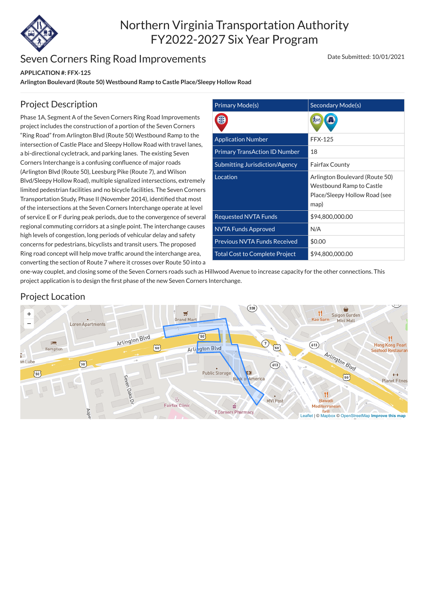

# Northern Virginia Transportation Authority FY2022-2027 Six Year Program

### Seven Corners Ring Road Improvements

#### **APPLICATION #: FFX-125**

**Arlington Boulevard (Route 50) Westbound Ramp to Castle Place/Sleepy Hollow Road**

#### Date Submitted: 10/01/2021

| <b>Primary Mode(s)</b>                | Secondary Mode(s)                                                                                   |
|---------------------------------------|-----------------------------------------------------------------------------------------------------|
|                                       |                                                                                                     |
| <b>Application Number</b>             | <b>FFX-125</b>                                                                                      |
| <b>Primary TransAction ID Number</b>  | 18                                                                                                  |
| <b>Submitting Jurisdiction/Agency</b> | <b>Fairfax County</b>                                                                               |
| Location                              | Arlington Boulevard (Route 50)<br>Westbound Ramp to Castle<br>Place/Sleepy Hollow Road (see<br>map) |
| <b>Requested NVTA Funds</b>           | \$94,800,000.00                                                                                     |
| <b>NVTA Funds Approved</b>            | N/A                                                                                                 |
| <b>Previous NVTA Funds Received</b>   | \$0.00                                                                                              |
| <b>Total Cost to Complete Project</b> | \$94,800,000.00                                                                                     |

### Project Description

Phase 1A, Segment A of the Seven Corners Ring Road Improvements project includes the construction of a portion of the Seven Corners "Ring Road" from Arlington Blvd (Route 50) Westbound Ramp to the intersection of Castle Place and Sleepy Hollow Road with travel lanes, a bi-directional cycletrack, and parking lanes. The existing Seven Corners Interchange is a confusing confluence of major roads (Arlington Blvd (Route 50), Leesburg Pike (Route 7), and Wilson Blvd/Sleepy Hollow Road), multiple signalized intersections, extremely limited pedestrian facilities and no bicycle facilities. The Seven Corners Transportation Study, Phase II (November 2014), identified that most of the intersections at the Seven Corners Interchange operate at level of service E or F during peak periods, due to the convergence of several regional commuting corridors at a single point. The interchange causes high levels of congestion, long periods of vehicular delay and safety concerns for pedestrians, bicyclists and transit users. The proposed Ring road concept will help move traffic around the interchange area, converting the section of Route 7 where it crosses over Route 50 into a

one-way couplet, and closing some of the Seven Corners roads such as Hillwood Avenue to increase capacity for the other connections. This project application is to design the first phase of the new Seven Corners Interchange.

#### Project Location